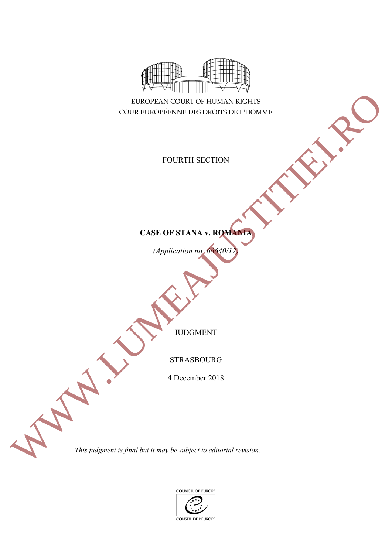

EUROPER NORTH SECTION<br>COURTH SECTION<br>COURTH SECTION<br>COURTH SECTION<br>COURTH SECTION<br>COURTH SECTION<br>SCREAMONDATION<br>STRASBOURG<br>4 December 2018<br>A December 2018<br>Regulation in the strategy of the content of contents in region of

FOURTH SECTION

# **CASE OF STANA v. ROMANIA**

*(Application no. 66640/12)*

JUDGMENT

STRASBOURG

*This judgment is final but it may be subject to editorial revision.*

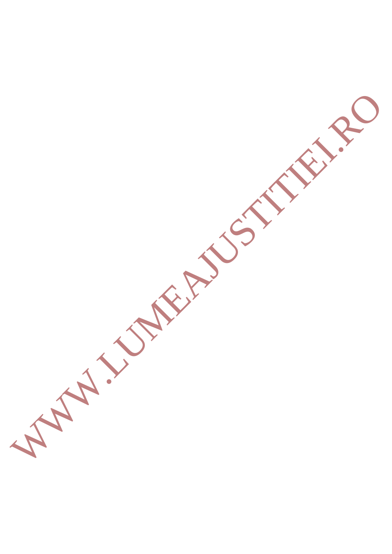WWW.AUTORANTIEVEC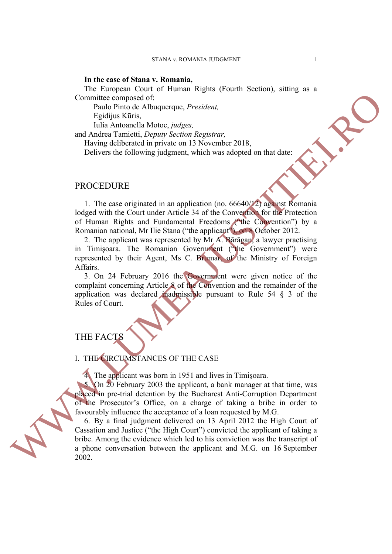#### **In the case of Stana v. Romania,**

The European Court of Human Rights (Fourth Section), sitting as a Committee composed of:

Paulo Pinto de Albuquerque, *President,*

Egidijus Kūris,

Iulia Antoanella Motoc, *judges,*

and Andrea Tamietti, *Deputy Section Registrar,*

Having deliberated in private on 13 November 2018,

Delivers the following judgment, which was adopted on that date:

### PROCEDURE

1. The case originated in an application (no. 66640/12) against Romania lodged with the Court under Article 34 of the Convention for the Protection of Human Rights and Fundamental Freedoms ("the Convention") by a Romanian national, Mr Ilie Stana ("the applicant"), on 8 October 2012.

2. The applicant was represented by Mr A. Bărăgan, a lawyer practising in Timişoara. The Romanian Government ("the Government") were represented by their Agent, Ms C. Brumar, of the Ministry of Foreign Affairs.

3. On 24 February 2016 the Government were given notice of the complaint concerning Article 8 of the Convention and the remainder of the application was declared inadmissible pursuant to Rule  $54 \S 3$  of the Rules of Court.

# THE FACTS

## I. THE CIRCUMSTANCES OF THE CASE

4. The applicant was born in 1951 and lives in Timişoara.

<span id="page-2-0"></span>5. On 20 February 2003 the applicant, a bank manager at that time, was placed in pre-trial detention by the Bucharest Anti-Corruption Department of the Prosecutor's Office, on a charge of taking a bribe in order to favourably influence the acceptance of a loan requested by M.G.

6. By a final judgment delivered on 13 April 2012 the High Court of Cassation and Justice ("the High Court") convicted the applicant of taking a bribe. Among the evidence which led to his conviction was the transcript of Committee completes the application between the phone conversation between the space of the space of the application between the application of Havan Edisbatic Tangel Section Registrer.<br>
The case originated in an applicat 2002.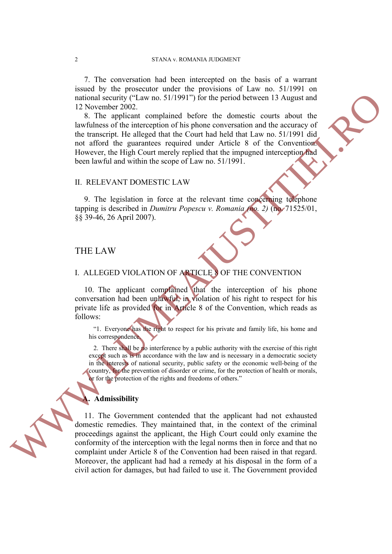<span id="page-3-1"></span>7. The conversation had been intercepted on the basis of a warrant issued by the prosecutor under the provisions of Law no. 51/1991 on national security ("Law no. 51/1991") for the period between 13 August and 12 November 2002.

<span id="page-3-0"></span>8. The applicant complained before the domestic courts about the lawfulness of the interception of his phone conversation and the accuracy of the transcript. He alleged that the Court had held that Law no. 51/1991 did not afford the guarantees required under Article 8 of the Convention. However, the High Court merely replied that the impugned interception had been lawful and within the scope of Law no. 51/1991.

#### II. RELEVANT DOMESTIC LAW

9. The legislation in force at the relevant time concerning telephone tapping is described in *Dumitru Popescu v. Romania (no. 2)* (no. 71525/01, §§ 39-46, 26 April 2007).

## THE LAW

## I. ALLEGED VIOLATION OF ARTICLE 8 OF THE CONVENTION

10. The applicant complained that the interception of his phone conversation had been unlawful, in violation of his right to respect for his private life as provided for in Article 8 of the Convention, which reads as follows:

"1. Everyone has the right to respect for his private and family life, his home and his correspondence.

2. There shall be no interference by a public authority with the exercise of this right except such as is in accordance with the law and is necessary in a democratic society in the interests of national security, public safety or the economic well-being of the country, for the prevention of disorder or crime, for the protection of health or morals, or for the protection of the rights and freedoms of others."

### **A. Admissibility**

11. The Government contended that the applicant had not exhausted domestic remedies. They maintained that, in the context of the criminal proceedings against the applicant, the High Court could only examine the conformity of the interception with the legal norms then in force and that no complaint under Article 8 of the Convention had been raised in that regard. maturization and the applicant temperature of the applicant temperature and the across of the interaction of this phonon conversation and the accuracy of the amplicant disposal in the Columbus Care in the form of a metall civil action for damages, but had failed to use it. The Government provided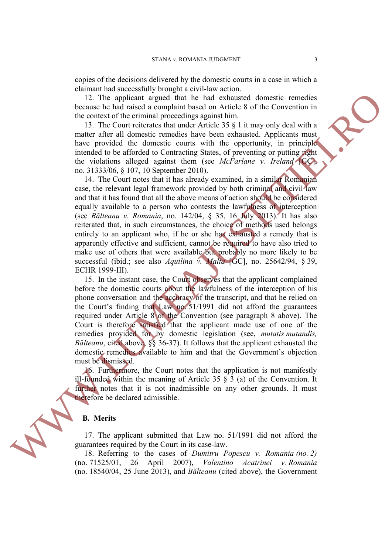copies of the decisions delivered by the domestic courts in a case in which a claimant had successfully brought a civil-law action.

12. The applicant argued that he had exhausted domestic remedies because he had raised a complaint based on Article 8 of the Convention in the context of the criminal proceedings against him.

13. The Court reiterates that under Article 35 § 1 it may only deal with a matter after all domestic remedies have been exhausted. Applicants must have provided the domestic courts with the opportunity, in principle intended to be afforded to Contracting States, of preventing or putting right the violations alleged against them (see *McFarlane v. Ireland* [GC], no. 31333/06, § 107, 10 September 2010).

14. The Court notes that it has already examined, in a similar Romanian case, the relevant legal framework provided by both criminal and civil law and that it has found that all the above means of action should be considered equally available to a person who contests the lawfulness of interception (see *Bălteanu v. Romania*, no. 142/04, § 35, 16 July 2013). It has also reiterated that, in such circumstances, the choice of methods used belongs entirely to an applicant who, if he or she has exhausted a remedy that is apparently effective and sufficient, cannot be required to have also tried to make use of others that were available but probably no more likely to be successful (ibid.; see also *Aquilina v. Malta* [GC], no. 25642/94, § 39, ECHR 1999-III). (1). The applicant squared bath he had exhibited consisting the control of the control of the control of the computer of the control of the control of the control of the control of the control of the control of the contro

15. In the instant case, the Court observes that the applicant complained before the domestic courts about the lawfulness of the interception of his phone conversation and the accuracy of the transcript, and that he relied on the Court's finding that Law no. 51/1991 did not afford the guarantees required under Article 8 of the Convention (see paragraph 8 above). The Court is therefore satisfied that the applicant made use of one of the remedies provided for by domestic legislation (see, *mutatis mutandis, Bălteanu*, cited above, §§ 36-37). It follows that the applicant exhausted the domestic remedies available to him and that the Government's objection must be dismissed.

16. Furthermore, the Court notes that the application is not manifestly ill-founded within the meaning of Article 35  $\S$  3 (a) of the Convention. It further notes that it is not inadmissible on any other grounds. It must therefore be declared admissible.

### **B. Merits**

17. The applicant submitted that Law no. 51/1991 did not afford the guarantees required by the Court in its case-law.

<span id="page-4-0"></span>18. Referring to the cases of *Dumitru Popescu v. Romania (no. 2)* (no. 18540/04, 25 June 2013), and *Bălteanu* (cited above), the Government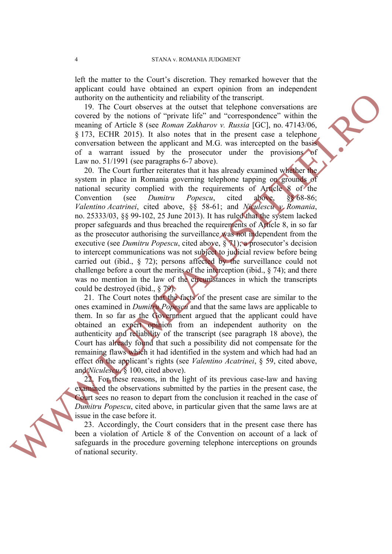left the matter to the Court's discretion. They remarked however that the applicant could have obtained an expert opinion from an independent authority on the authenticity and reliability of the transcript.

19. The Court observes at the outset that telephone conversations are covered by the notions of "private life" and "correspondence" within the meaning of Article 8 (see *Roman Zakharov v. Russia* [GC], no. 47143/06, § 173, ECHR 2015). It also notes that in the present case a telephone conversation between the applicant and M.G. was intercepted on the basis of a warrant issued by the prosecutor under the provisions of Law no. 51/1991 (see paragraphs 6-7 above).

20. The Court further reiterates that it has already examined whether the system in place in Romania governing telephone tapping on grounds of national security complied with the requirements of Article 8 of the Convention (see *Dumitru Popescu*, cited above, §§ 68-86; *Valentino Acatrinei*, cited above, §§ 58-61; and *Niculescu v. Romania*, no. 25333/03, §§ 99-102, 25 June 2013). It has ruled that the system lacked proper safeguards and thus breached the requirements of Article 8, in so far as the prosecutor authorising the surveillance was not independent from the executive (see *Dumitru Popescu*, cited above, § 71); a prosecutor's decision to intercept communications was not subject to judicial review before being carried out (ibid., § 72); persons affected by the surveillance could not challenge before a court the merits of the interception (ibid., § 74); and there was no mention in the law of the circumstances in which the transcripts could be destroyed (ibid., § 79). safety the nontronion of the two models in the two procedures with the case of the models of the models of the models of the models of the models of the models of the models of the procedure within the procedure of the pr

21. The Court notes that the facts of the present case are similar to the ones examined in *Dumitru Popescu* and that the same laws are applicable to them. In so far as the Government argued that the applicant could have obtained an expert opinion from an independent authority on the authenticity and reliability of the transcript (see paragraph 18 above), the Court has already found that such a possibility did not compensate for the remaining flaws which it had identified in the system and which had had an effect on the applicant's rights (see *Valentino Acatrinei*, § 59, cited above, and *Niculescu*, § 100, cited above).

22. For these reasons, in the light of its previous case-law and having examined the observations submitted by the parties in the present case, the Court sees no reason to depart from the conclusion it reached in the case of *Dumitru Popescu*, cited above, in particular given that the same laws are at issue in the case before it.

23. Accordingly, the Court considers that in the present case there has been a violation of Article 8 of the Convention on account of a lack of of national security.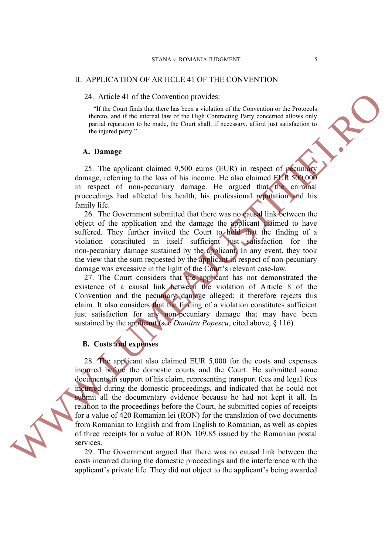#### STANA v. ROMANIA JUDGMENT 5

#### II. APPLICATION OF ARTICLE 41 OF THE CONVENTION

#### 24. Article 41 of the Convention provides:

"If the Court finds that there has been a violation of the Convention or the Protocols thereto, and if the internal law of the High Contracting Party concerned allows only partial reparation to be made, the Court shall, if necessary, afford just satisfaction to the injured party."

#### **A. Damage**

25. The applicant claimed 9,500 euros (EUR) in respect of pecuniary damage, referring to the loss of his income. He also claimed EUR 500,000 in respect of non-pecuniary damage. He argued that the criminal proceedings had affected his health, his professional reputation and his family life.

26. The Government submitted that there was no causal link between the object of the application and the damage the applicant claimed to have suffered. They further invited the Court to hold that the finding of a violation constituted in itself sufficient just satisfaction for the non-pecuniary damage sustained by the applicant. In any event, they took the view that the sum requested by the applicant in respect of non-pecuniary damage was excessive in the light of the Court's relevant case-law.

27. The Court considers that the applicant has not demonstrated the existence of a causal link between the violation of Article 8 of the Convention and the pecuniary damage alleged; it therefore rejects this claim. It also considers that the finding of a violation constitutes sufficient just satisfaction for any non-pecuniary damage that may have been sustained by the applicant (see *Dumitru Popescu*, cited above, § 116).

# **B. Costs and expenses**

28. The applicant also claimed EUR 5,000 for the costs and expenses incurred before the domestic courts and the Court. He submitted some documents in support of his claim, representing transport fees and legal fees incurred during the domestic proceedings, and indicated that he could not submit all the documentary evidence because he had not kept it all. In relation to the proceedings before the Court, he submitted copies of receipts for a value of 420 Romanian lei (RON) for the translation of two documents from Romanian to English and from English to Romanian, as well as copies of three receipts for a value of RON 109.85 issued by the Romanian postal services. 24. A costs including the domestic proceeding the deterministry and the domestic proceeding the deterministry and the energy and the metallic proceedings and the the High Command The costs in the interference with the int

29. The Government argued that there was no causal link between the applicant's private life. They did not object to the applicant's being awarded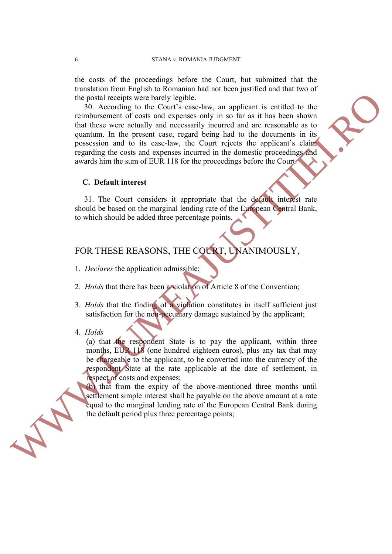the costs of the proceedings before the Court, but submitted that the translation from English to Romanian had not been justified and that two of the postal receipts were barely legible.

30. According to the Court's case-law, an applicant is entitled to the reimbursement of costs and expenses only in so far as it has been shown that these were actually and necessarily incurred and are reasonable as to quantum. In the present case, regard being had to the documents in its possession and to its case-law, the Court rejects the applicant's claim regarding the costs and expenses incurred in the domestic proceedings and awards him the sum of EUR 118 for the proceedings before the Court. the root of the based of the complete the complete that is the solution of the complete points; Although the complete points; Although the complete point of the solution of the solution of the solution of the percentage p

### **C. Default interest**

31. The Court considers it appropriate that the default interest rate should be based on the marginal lending rate of the European Central Bank, to which should be added three percentage points.

# FOR THESE REASONS, THE COURT, UNANIMOUSLY,

1. *Declares* the application admissible;

- 2. *Holds* that there has been a violation of Article 8 of the Convention;
- 3. *Holds* that the finding of a violation constitutes in itself sufficient just satisfaction for the non-pecuniary damage sustained by the applicant;
- 4. *Holds*

(a) that the respondent State is to pay the applicant, within three months, EUR 118 (one hundred eighteen euros), plus any tax that may be chargeable to the applicant, to be converted into the currency of the respondent State at the rate applicable at the date of settlement, in respect of costs and expenses;

(b) that from the expiry of the above-mentioned three months until settlement simple interest shall be payable on the above amount at a rate equal to the marginal lending rate of the European Central Bank during